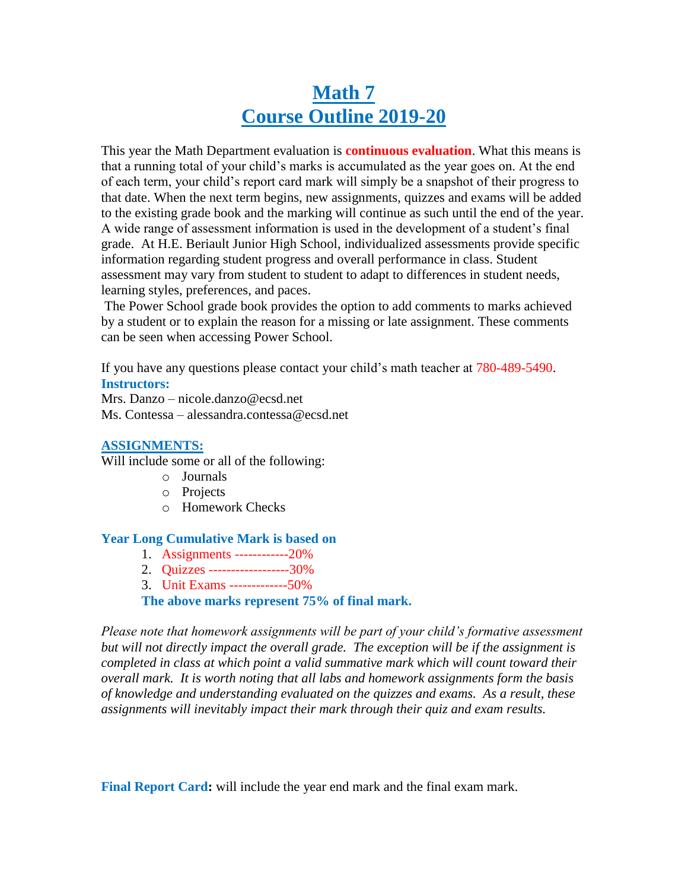# **Math 7 Course Outline 2019-20**

This year the Math Department evaluation is **continuous evaluation**. What this means is that a running total of your child's marks is accumulated as the year goes on. At the end of each term, your child's report card mark will simply be a snapshot of their progress to that date. When the next term begins, new assignments, quizzes and exams will be added to the existing grade book and the marking will continue as such until the end of the year. A wide range of assessment information is used in the development of a student's final grade. At H.E. Beriault Junior High School, individualized assessments provide specific information regarding student progress and overall performance in class. Student assessment may vary from student to student to adapt to differences in student needs, learning styles, preferences, and paces.

The Power School grade book provides the option to add comments to marks achieved by a student or to explain the reason for a missing or late assignment. These comments can be seen when accessing Power School.

If you have any questions please contact your child's math teacher at 780-489-5490. **Instructors:**

Mrs. Danzo – nicole.danzo@ecsd.net Ms. Contessa – alessandra.contessa@ecsd.net

# **ASSIGNMENTS:**

Will include some or all of the following:

- o Journals
- o Projects
- o Homework Checks

# **Year Long Cumulative Mark is based on**

- 1. Assignments ------------20%
- 2. Quizzes ------------------30%
- 3. Unit Exams -------------50%

**The above marks represent 75% of final mark.**

*Please note that homework assignments will be part of your child's formative assessment but will not directly impact the overall grade. The exception will be if the assignment is completed in class at which point a valid summative mark which will count toward their overall mark. It is worth noting that all labs and homework assignments form the basis of knowledge and understanding evaluated on the quizzes and exams. As a result, these assignments will inevitably impact their mark through their quiz and exam results.*

**Final Report Card:** will include the year end mark and the final exam mark.